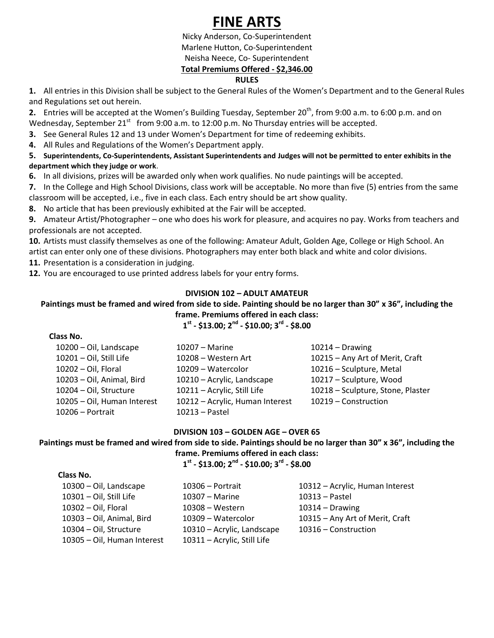# **FINE ARTS**

Nicky Anderson, Co-Superintendent Marlene Hutton, Co-Superintendent Neisha Neece, Co- Superintendent **Total Premiums Offered - \$2,346.00**

# **RULES**

**1.** All entries in this Division shall be subject to the General Rules of the Women's Department and to the General Rules and Regulations set out herein.

**2.** Entries will be accepted at the Women's Building Tuesday, September 20<sup>th</sup>, from 9:00 a.m. to 6:00 p.m. and on Wednesday, September 21<sup>st</sup> from 9:00 a.m. to 12:00 p.m. No Thursday entries will be accepted.

**3.** See General Rules 12 and 13 under Women's Department for time of redeeming exhibits.

**4.** All Rules and Regulations of the Women's Department apply.

**5. Superintendents, Co-Superintendents, Assistant Superintendents and Judges will not be permitted to enter exhibits in the department which they judge or work**.

**6.** In all divisions, prizes will be awarded only when work qualifies. No nude paintings will be accepted.

**7.** In the College and High School Divisions, class work will be acceptable. No more than five (5) entries from the same classroom will be accepted, i.e., five in each class. Each entry should be art show quality.

**8.** No article that has been previously exhibited at the Fair will be accepted.

**9.** Amateur Artist/Photographer – one who does his work for pleasure, and acquires no pay. Works from teachers and professionals are not accepted.

**10.** Artists must classify themselves as one of the following: Amateur Adult, Golden Age, College or High School. An artist can enter only one of these divisions. Photographers may enter both black and white and color divisions.

**11.** Presentation is a consideration in judging.

 **Class No.** 

**12.** You are encouraged to use printed address labels for your entry forms.

# **DIVISION 102 – ADULT AMATEUR**

## **Paintings must be framed and wired from side to side. Painting should be no larger than 30" x 36", including the frame. Premiums offered in each class:**

**1 st - \$13.00; 2nd - \$10.00; 3rd - \$8.00**

| .                           |                                 |                                   |
|-----------------------------|---------------------------------|-----------------------------------|
| 10200 - Oil, Landscape      | 10207 - Marine                  | $10214 - Drawing$                 |
| 10201 - Oil, Still Life     | 10208 - Western Art             | 10215 - Any Art of Merit, Craft   |
| $10202 - Oil$ , Floral      | 10209 - Watercolor              | 10216 - Sculpture, Metal          |
| 10203 - Oil, Animal, Bird   | 10210 - Acrylic, Landscape      | 10217 - Sculpture, Wood           |
| 10204 - Oil, Structure      | 10211 - Acrylic, Still Life     | 10218 - Sculpture, Stone, Plaster |
| 10205 - Oil, Human Interest | 10212 - Acrylic, Human Interest | 10219 - Construction              |
| $10206 -$ Portrait          | 10213 - Pastel                  |                                   |
|                             |                                 |                                   |

## **DIVISION 103 – GOLDEN AGE – OVER 65**

# **Paintings must be framed and wired from side to side. Paintings should be no larger than 30" x 36", including the**

**frame. Premiums offered in each class: 1 st - \$13.00; 2nd - \$10.00; 3rd - \$8.00**

| Class No.                   |                             |                                 |
|-----------------------------|-----------------------------|---------------------------------|
| 10300 - Oil, Landscape      | $10306 -$ Portrait          | 10312 - Acrylic, Human Interest |
| 10301 - Oil, Still Life     | $10307 -$ Marine            | $10313 -$ Pastel                |
| 10302 - Oil, Floral         | 10308 - Western             | $10314 - Drawing$               |
| 10303 - Oil, Animal, Bird   | 10309 - Watercolor          | 10315 - Any Art of Merit, Craft |
| 10304 - Oil, Structure      | 10310 - Acrylic, Landscape  | 10316 - Construction            |
| 10305 - Oil, Human Interest | 10311 - Acrylic, Still Life |                                 |